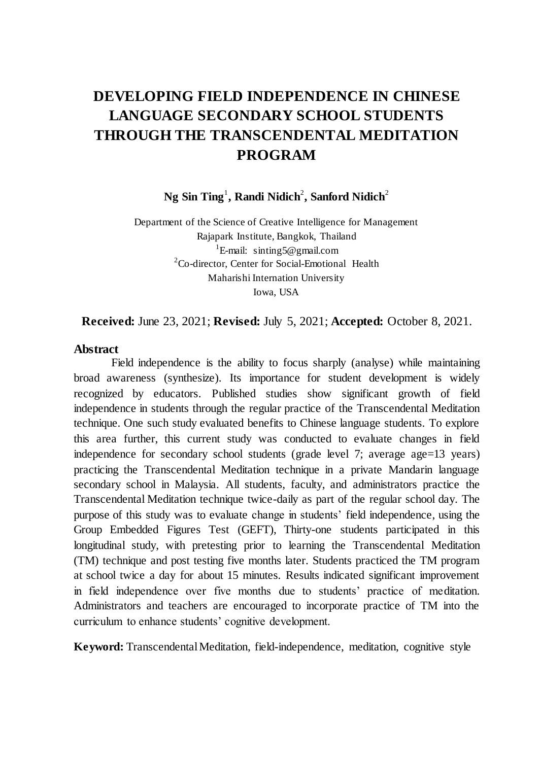# **DEVELOPING FIELD INDEPENDENCE IN CHINESE LANGUAGE SECONDARY SCHOOL STUDENTS THROUGH THE TRANSCENDENTAL MEDITATION PROGRAM**

 $N$ g Sin Ting<sup>1</sup>, Randi Nidich<sup>2</sup>, Sanford Nidich<sup>2</sup>

Department of the Science of Creative Intelligence for Management Rajapark Institute, Bangkok, Thailand <sup>1</sup>E-mail: sinting5@gmail.com  ${}^{2}$ Co-director, Center for Social-Emotional Health Maharishi Internation University Iowa, USA

**Received:** June 23, 2021; **Revised:** July 5, 2021; **Accepted:** October 8, 2021.

#### **Abstract**

Field independence is the ability to focus sharply (analyse) while maintaining broad awareness (synthesize). Its importance for student development is widely recognized by educators. Published studies show significant growth of field independence in students through the regular practice of the Transcendental Meditation technique. One such study evaluated benefits to Chinese language students. To explore this area further, this current study was conducted to evaluate changes in field independence for secondary school students (grade level 7; average age=13 years) practicing the Transcendental Meditation technique in a private Mandarin language secondary school in Malaysia. All students, faculty, and administrators practice the Transcendental Meditation technique twice-daily as part of the regular school day. The purpose of this study was to evaluate change in students' field independence, using the Group Embedded Figures Test (GEFT), Thirty-one students participated in this longitudinal study, with pretesting prior to learning the Transcendental Meditation (TM) technique and post testing five months later. Students practiced the TM program at school twice a day for about 15 minutes. Results indicated significant improvement in field independence over five months due to students' practice of meditation. Administrators and teachers are encouraged to incorporate practice of TM into the curriculum to enhance students' cognitive development.

**Keyword:** Transcendental Meditation, field-independence, meditation, cognitive style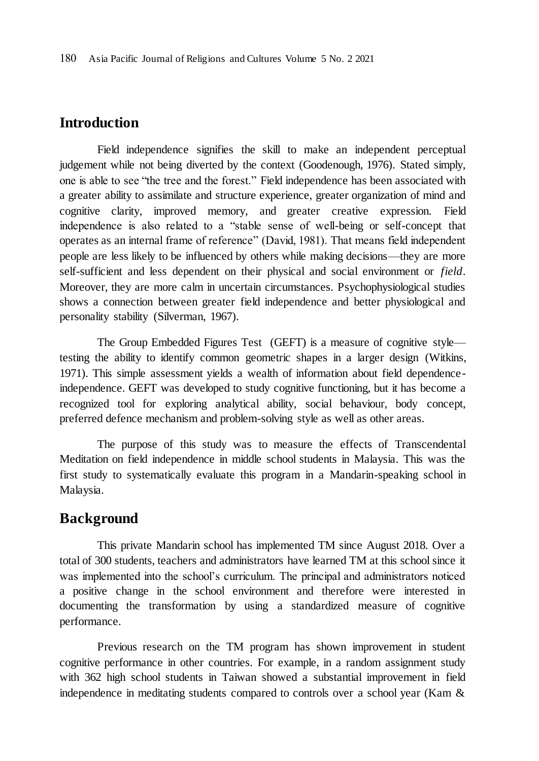### **Introduction**

Field independence signifies the skill to make an independent perceptual judgement while not being diverted by the context (Goodenough, 1976). Stated simply, one is able to see "the tree and the forest." Field independence has been associated with a greater ability to assimilate and structure experience, greater organization of mind and cognitive clarity, improved memory, and greater creative expression. Field independence is also related to a "stable sense of well-being or self-concept that operates as an internal frame of reference" (David, 1981). That means field independent people are less likely to be influenced by others while making decisions—they are more self-sufficient and less dependent on their physical and social environment or *field*. Moreover, they are more calm in uncertain circumstances. Psychophysiological studies shows a connection between greater field independence and better physiological and personality stability (Silverman, 1967).

The Group Embedded Figures Test (GEFT) is a measure of cognitive style testing the ability to identify common geometric shapes in a larger design (Witkins, 1971). This simple assessment yields a wealth of information about field dependenceindependence. GEFT was developed to study cognitive functioning, but it has become a recognized tool for exploring analytical ability, social behaviour, body concept, preferred defence mechanism and problem-solving style as well as other areas.

The purpose of this study was to measure the effects of Transcendental Meditation on field independence in middle school students in Malaysia. This was the first study to systematically evaluate this program in a Mandarin-speaking school in Malaysia.

### **Background**

This private Mandarin school has implemented TM since August 2018. Over a total of 300 students, teachers and administrators have learned TM at this school since it was implemented into the school's curriculum. The principal and administrators noticed a positive change in the school environment and therefore were interested in documenting the transformation by using a standardized measure of cognitive performance.

Previous research on the TM program has shown improvement in student cognitive performance in other countries. For example, in a random assignment study with 362 high school students in Taiwan showed a substantial improvement in field independence in meditating students compared to controls over a school year (Kam &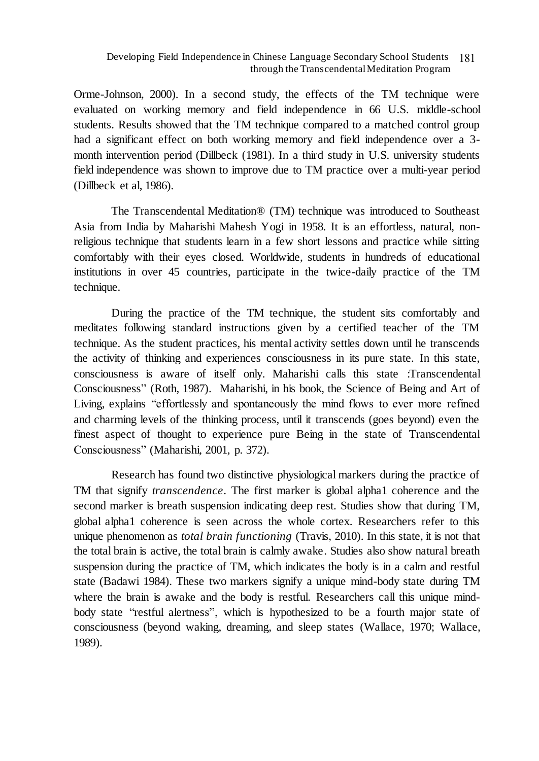#### Developing Field Independence in Chinese Language Secondary School Students 181 through the Transcendental Meditation Program

Orme-Johnson, 2000). In a second study, the effects of the TM technique were evaluated on working memory and field independence in 66 U.S. middle-school students. Results showed that the TM technique compared to a matched control group had a significant effect on both working memory and field independence over a 3 month intervention period (Dillbeck (1981). In a third study in U.S. university students field independence was shown to improve due to TM practice over a multi-year period (Dillbeck et al, 1986).

The Transcendental Meditation® (TM) technique was introduced to Southeast Asia from India by Maharishi Mahesh Yogi in 1958. It is an effortless, natural, nonreligious technique that students learn in a few short lessons and practice while sitting comfortably with their eyes closed. Worldwide, students in hundreds of educational institutions in over 45 countries, participate in the twice-daily practice of the TM technique.

During the practice of the TM technique, the student sits comfortably and meditates following standard instructions given by a certified teacher of the TM technique. As the student practices, his mental activity settles down until he transcends the activity of thinking and experiences consciousness in its pure state. In this state, consciousness is aware of itself only. Maharishi calls this state :Transcendental Consciousness" (Roth, 1987). Maharishi, in his book, the Science of Being and Art of Living, explains "effortlessly and spontaneously the mind flows to ever more refined and charming levels of the thinking process, until it transcends (goes beyond) even the finest aspect of thought to experience pure Being in the state of Transcendental Consciousness" (Maharishi, 2001, p. 372).

Research has found two distinctive physiological markers during the practice of TM that signify *transcendence*. The first marker is global alpha1 coherence and the second marker is breath suspension indicating deep rest. Studies show that during TM, global alpha1 coherence is seen across the whole cortex. Researchers refer to this unique phenomenon as *total brain functioning* (Travis, 2010). In this state, it is not that the total brain is active, the total brain is calmly awake. Studies also show natural breath suspension during the practice of TM, which indicates the body is in a calm and restful state (Badawi 1984). These two markers signify a unique mind-body state during TM where the brain is awake and the body is restful. Researchers call this unique mindbody state "restful alertness", which is hypothesized to be a fourth major state of consciousness (beyond waking, dreaming, and sleep states (Wallace, 1970; Wallace, 1989).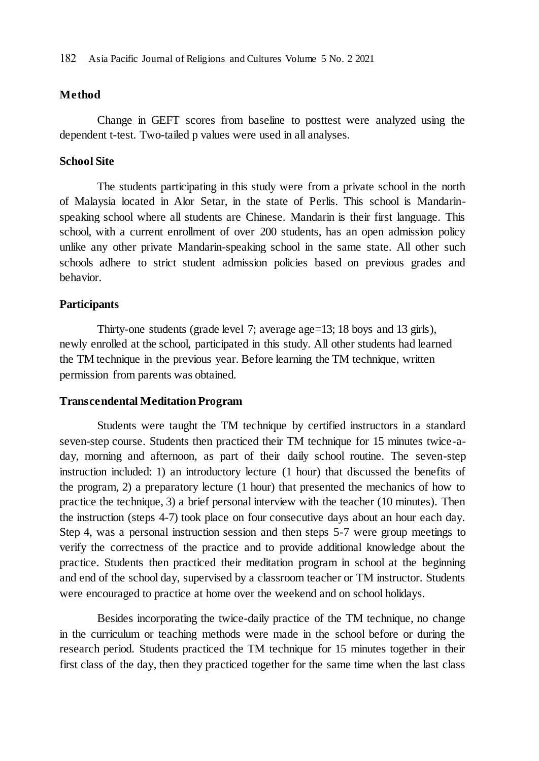#### **Method**

Change in GEFT scores from baseline to posttest were analyzed using the dependent t-test. Two-tailed p values were used in all analyses.

#### **School Site**

The students participating in this study were from a private school in the north of Malaysia located in Alor Setar, in the state of Perlis. This school is Mandarinspeaking school where all students are Chinese. Mandarin is their first language. This school, with a current enrollment of over 200 students, has an open admission policy unlike any other private Mandarin-speaking school in the same state. All other such schools adhere to strict student admission policies based on previous grades and behavior.

#### **Participants**

Thirty-one students (grade level 7; average age=13; 18 boys and 13 girls), newly enrolled at the school, participated in this study. All other students had learned the TM technique in the previous year. Before learning the TM technique, written permission from parents was obtained.

#### **Transcendental Meditation Program**

Students were taught the TM technique by certified instructors in a standard seven-step course. Students then practiced their TM technique for 15 minutes twice-aday, morning and afternoon, as part of their daily school routine. The seven-step instruction included: 1) an introductory lecture (1 hour) that discussed the benefits of the program, 2) a preparatory lecture (1 hour) that presented the mechanics of how to practice the technique, 3) a brief personal interview with the teacher (10 minutes). Then the instruction (steps 4-7) took place on four consecutive days about an hour each day. Step 4, was a personal instruction session and then steps 5-7 were group meetings to verify the correctness of the practice and to provide additional knowledge about the practice. Students then practiced their meditation program in school at the beginning and end of the school day, supervised by a classroom teacher or TM instructor. Students were encouraged to practice at home over the weekend and on school holidays.

Besides incorporating the twice-daily practice of the TM technique, no change in the curriculum or teaching methods were made in the school before or during the research period. Students practiced the TM technique for 15 minutes together in their first class of the day, then they practiced together for the same time when the last class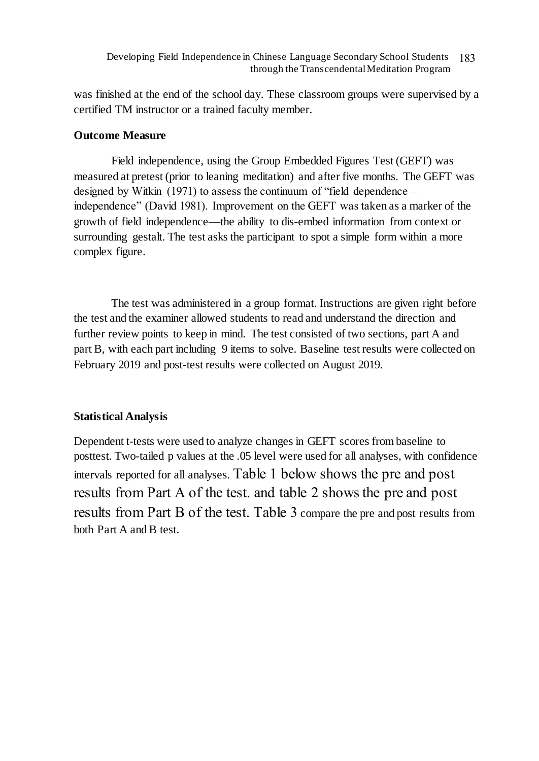was finished at the end of the school day. These classroom groups were supervised by a certified TM instructor or a trained faculty member.

### **Outcome Measure**

Field independence, using the Group Embedded Figures Test (GEFT) was measured at pretest (prior to leaning meditation) and after five months. The GEFT was designed by Witkin (1971) to assess the continuum of "field dependence – independence" (David 1981). Improvement on the GEFT was taken as a marker of the growth of field independence—the ability to dis-embed information from context or surrounding gestalt. The test asks the participant to spot a simple form within a more complex figure.

The test was administered in a group format. Instructions are given right before the test and the examiner allowed students to read and understand the direction and further review points to keep in mind. The test consisted of two sections, part A and part B, with each part including 9 items to solve. Baseline test results were collected on February 2019 and post-test results were collected on August 2019.

### **Statistical Analysis**

Dependent t-tests were used to analyze changes in GEFT scores from baseline to posttest. Two-tailed p values at the .05 level were used for all analyses, with confidence intervals reported for all analyses. Table 1 below shows the pre and post results from Part A of the test. and table 2 shows the pre and post results from Part B of the test. Table 3 compare the pre and post results from both Part A and B test.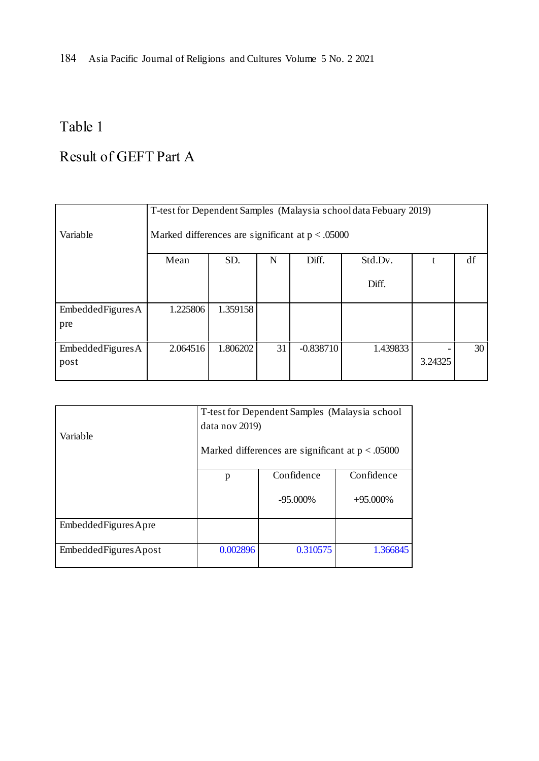184 Asia Pacific Journal of Religions and Cultures Volume 5 No. 2 2021

## Table 1

# Result of GEFT Part A

|                 | T-test for Dependent Samples (Malaysia school data Febuary 2019) |          |    |             |          |         |    |
|-----------------|------------------------------------------------------------------|----------|----|-------------|----------|---------|----|
| Variable        | Marked differences are significant at $p < .05000$               |          |    |             |          |         |    |
|                 | df<br>SD.<br>Mean<br>N<br>Diff.<br>Std.Dv.                       |          |    |             |          |         |    |
|                 |                                                                  |          |    |             | Diff.    |         |    |
| EmbededFiguresA | 1.225806                                                         | 1.359158 |    |             |          |         |    |
| pre             |                                                                  |          |    |             |          |         |    |
| EmbededFiguresA | 2.064516                                                         | 1.806202 | 31 | $-0.838710$ | 1.439833 |         | 30 |
| post            |                                                                  |          |    |             |          | 3.24325 |    |

|                        | T-test for Dependent Samples (Malaysia school)                       |             |             |  |  |  |  |
|------------------------|----------------------------------------------------------------------|-------------|-------------|--|--|--|--|
|                        | data nov 2019)<br>Marked differences are significant at $p < .05000$ |             |             |  |  |  |  |
| Variable               |                                                                      |             |             |  |  |  |  |
|                        | p                                                                    | Confidence  | Confidence  |  |  |  |  |
|                        |                                                                      | $-95.000\%$ | $+95.000\%$ |  |  |  |  |
| Embedded Figures Apre  |                                                                      |             |             |  |  |  |  |
| Embedded Figures Apost | 0.002896                                                             | 0.310575    | 1.366845    |  |  |  |  |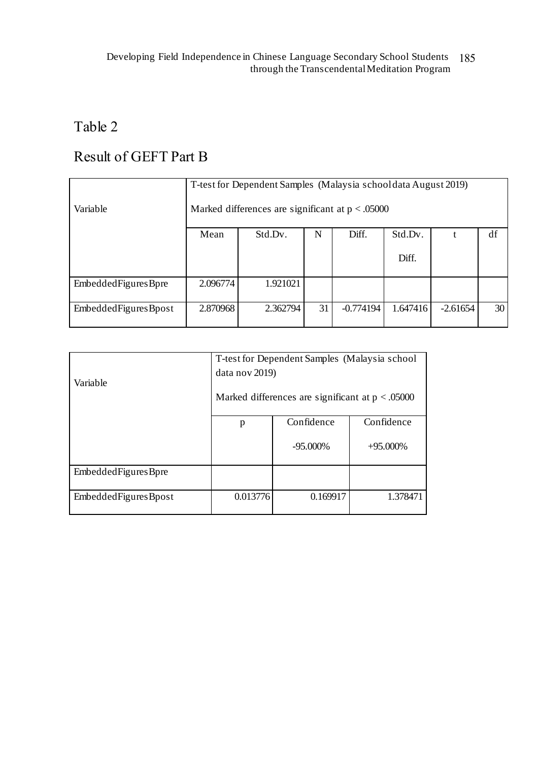# Table 2

# Result of GEFT Part B

| Variable               | T-test for Dependent Samples (Malaysia schooldata August 2019)<br>Marked differences are significant at $p < .05000$ |          |    |             |          |            |    |
|------------------------|----------------------------------------------------------------------------------------------------------------------|----------|----|-------------|----------|------------|----|
|                        | Mean                                                                                                                 | Std.Dv.  | N  | Diff.       | Std.Dv.  |            | df |
|                        |                                                                                                                      |          |    |             | Diff.    |            |    |
| Embedded Figures Bpre  | 2.096774                                                                                                             | 1.921021 |    |             |          |            |    |
| Embedded Figures Bpost | 2.870968                                                                                                             | 2.362794 | 31 | $-0.774194$ | 1.647416 | $-2.61654$ | 30 |

|                        | T-test for Dependent Samples (Malaysia school      |             |             |  |  |  |  |
|------------------------|----------------------------------------------------|-------------|-------------|--|--|--|--|
| Variable               | data nov 2019)                                     |             |             |  |  |  |  |
|                        | Marked differences are significant at $p < .05000$ |             |             |  |  |  |  |
|                        | p                                                  | Confidence  | Confidence  |  |  |  |  |
|                        |                                                    | $-95.000\%$ | $+95.000\%$ |  |  |  |  |
| EmbeddedFiguresBpre    |                                                    |             |             |  |  |  |  |
| Embedded Figures Bpost | 0.013776                                           | 0.169917    | 1.378471    |  |  |  |  |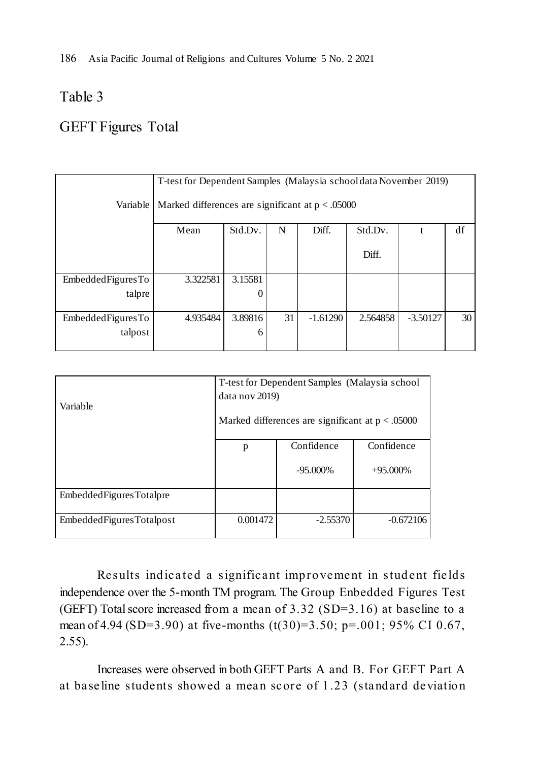186 Asia Pacific Journal of Religions and Cultures Volume 5 No. 2 2021

## Table 3

## GEFT Figures Total

| Variable          | T-test for Dependent Samples (Malaysia school data November 2019)<br>Marked differences are significant at $p < .05000$ |         |    |            |          |            |    |
|-------------------|-------------------------------------------------------------------------------------------------------------------------|---------|----|------------|----------|------------|----|
|                   | Std.Dv.<br>df<br>Mean<br>Std.Dv.<br>N<br>Diff.                                                                          |         |    |            |          |            |    |
|                   |                                                                                                                         |         |    |            | Diff.    |            |    |
| EmbeddedFiguresTo | 3.322581                                                                                                                | 3.15581 |    |            |          |            |    |
| talpre            |                                                                                                                         | 0       |    |            |          |            |    |
| EmbeddedFiguresTo | 4.935484                                                                                                                | 3.89816 | 31 | $-1.61290$ | 2.564858 | $-3.50127$ | 30 |
| talpost           | 6                                                                                                                       |         |    |            |          |            |    |

| Variable                    | T-test for Dependent Samples (Malaysia school<br>data nov 2019)<br>Marked differences are significant at $p < .05000$ |             |             |  |  |
|-----------------------------|-----------------------------------------------------------------------------------------------------------------------|-------------|-------------|--|--|
|                             | p                                                                                                                     | Confidence  | Confidence  |  |  |
|                             |                                                                                                                       | $-95.000\%$ | $+95.000\%$ |  |  |
| Embedded Figures Total pre  |                                                                                                                       |             |             |  |  |
| Embedded Figures Total post | 0.001472                                                                                                              | $-2.55370$  | $-0.672106$ |  |  |

Results indicated a significant improvement in student fields independence over the 5-month TM program. The Group Enbedded Figures Test (GEFT) Total score increased from a mean of 3.32 (SD=3.16) at baseline to a mean of 4.94 (SD=3.90) at five-months  $(t(30)=3.50; p=.001; 95\% \text{ CI } 0.67$ , 2.55).

Increases were observed in both GEFT Parts A and B. For GEFT Part A at baseline students showed a mean score of 1.23 (standard deviation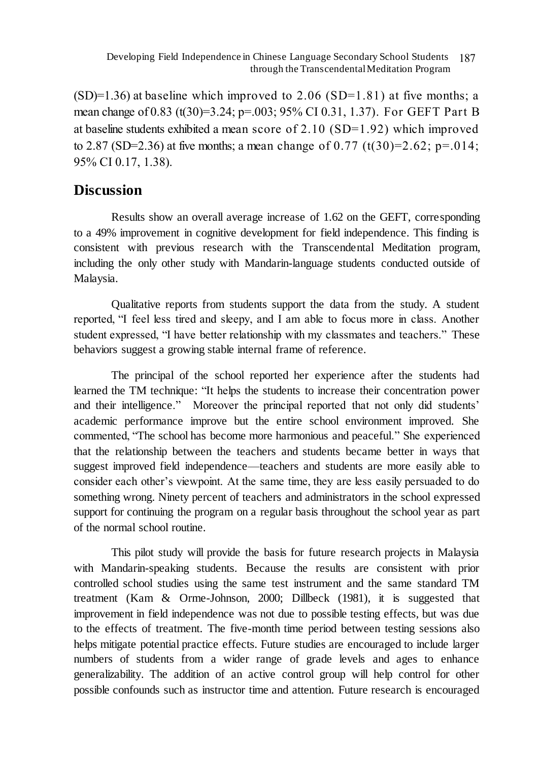$(SD)=1.36$ ) at baseline which improved to 2.06  $(SD=1.81)$  at five months; a mean change of 0.83 (t(30)=3.24; p=.003; 95% CI 0.31, 1.37). For GEFT Part B at baseline students exhibited a mean score of 2.10 (SD=1.92) which improved to 2.87 (SD=2.36) at five months; a mean change of 0.77 (t(30)=2.62; p=.014; 95% CI 0.17, 1.38).

## **Discussion**

Results show an overall average increase of 1.62 on the GEFT, corresponding to a 49% improvement in cognitive development for field independence. This finding is consistent with previous research with the Transcendental Meditation program, including the only other study with Mandarin-language students conducted outside of Malaysia.

Qualitative reports from students support the data from the study. A student reported, "I feel less tired and sleepy, and I am able to focus more in class. Another student expressed, "I have better relationship with my classmates and teachers." These behaviors suggest a growing stable internal frame of reference.

The principal of the school reported her experience after the students had learned the TM technique: "It helps the students to increase their concentration power and their intelligence." Moreover the principal reported that not only did students' academic performance improve but the entire school environment improved. She commented, "The school has become more harmonious and peaceful." She experienced that the relationship between the teachers and students became better in ways that suggest improved field independence—teachers and students are more easily able to consider each other's viewpoint. At the same time, they are less easily persuaded to do something wrong. Ninety percent of teachers and administrators in the school expressed support for continuing the program on a regular basis throughout the school year as part of the normal school routine.

This pilot study will provide the basis for future research projects in Malaysia with Mandarin-speaking students. Because the results are consistent with prior controlled school studies using the same test instrument and the same standard TM treatment (Kam & Orme-Johnson, 2000; Dillbeck (1981), it is suggested that improvement in field independence was not due to possible testing effects, but was due to the effects of treatment. The five-month time period between testing sessions also helps mitigate potential practice effects. Future studies are encouraged to include larger numbers of students from a wider range of grade levels and ages to enhance generalizability. The addition of an active control group will help control for other possible confounds such as instructor time and attention. Future research is encouraged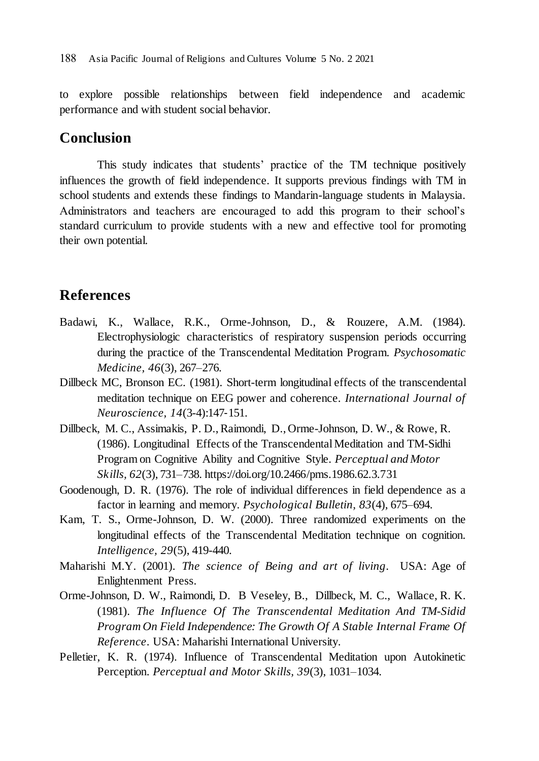to explore possible relationships between field independence and academic performance and with student social behavior.

## **Conclusion**

This study indicates that students' practice of the TM technique positively influences the growth of field independence. It supports previous findings with TM in school students and extends these findings to Mandarin-language students in Malaysia. Administrators and teachers are encouraged to add this program to their school's standard curriculum to provide students with a new and effective tool for promoting their own potential.

### **References**

- Badawi, K., Wallace, R.K., Orme-Johnson, D., & Rouzere, A.M. (1984). Electrophysiologic characteristics of respiratory suspension periods occurring during the practice of the Transcendental Meditation Program. *Psychosomatic Medicine, 46*(3), 267–276.
- Dillbeck MC, Bronson EC. (1981). Short-term longitudinal effects of the transcendental meditation technique on EEG power and coherence. *International Journal of Neuroscience, 14*(3-4):147‐151.
- Dillbeck, M. C., Assimakis, P. D.,Raimondi, D., Orme-Johnson, D. W., & Rowe, R. (1986). Longitudinal Effects of the Transcendental Meditation and TM-Sidhi Program on Cognitive Ability and Cognitive Style. *Perceptual and Motor Skills, 62*(3), 731–738. https://doi.org/10.2466/pms.1986.62.3.731
- Goodenough, D. R. (1976). The role of individual differences in field dependence as a factor in learning and memory. *Psychological Bulletin, 83*(4), 675–694.
- Kam, T. S., Orme-Johnson, D. W. (2000). Three randomized experiments on the longitudinal effects of the Transcendental Meditation technique on cognition. *Intelligence, 29*(5), 419-440.
- Maharishi M.Y. (2001). *The science of Being and art of living*. USA: Age of Enlightenment Press.
- Orme-Johnson, D. W., Raimondi, D. B Veseley, B., Dillbeck, M. C., Wallace, R. K. (1981). *The Influence Of The Transcendental Meditation And TM-Sidid Program On Field Independence: The Growth Of A Stable Internal Frame Of Reference*. USA: Maharishi International University.
- Pelletier, K. R. (1974). Influence of Transcendental Meditation upon Autokinetic Perception. *Perceptual and Motor Skills, 39*(3), 1031–1034.